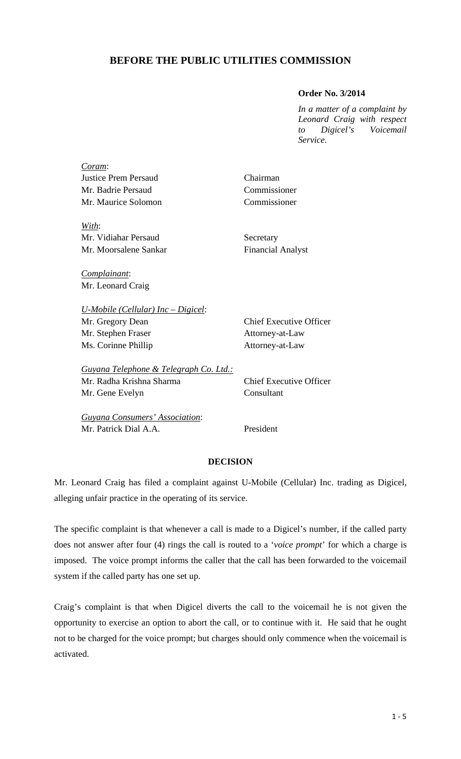## **BEFORE THE PUBLIC UTILITIES COMMISSION**

## **Order No. 3/2014**

*In a matter of a complaint by Leonard Craig with respect to Digicel's Voicemail Service.* 

| Coram:                                 |                                |
|----------------------------------------|--------------------------------|
| <b>Justice Prem Persaud</b>            | Chairman                       |
| Mr. Badrie Persaud                     | Commissioner                   |
| Mr. Maurice Solomon                    | Commissioner                   |
| With:                                  |                                |
| Mr. Vidiahar Persaud                   | Secretary                      |
| Mr. Moorsalene Sankar                  | <b>Financial Analyst</b>       |
| Complainant:                           |                                |
| Mr. Leonard Craig                      |                                |
| $U$ -Mobile (Cellular) Inc – Digicel:  |                                |
| Mr. Gregory Dean                       | <b>Chief Executive Officer</b> |
| Mr. Stephen Fraser                     | Attorney-at-Law                |
| Ms. Corinne Phillip                    | Attorney-at-Law                |
| Guyana Telephone & Telegraph Co. Ltd.: |                                |
| Mr. Radha Krishna Sharma               | <b>Chief Executive Officer</b> |
| Mr. Gene Evelyn                        | Consultant                     |
| Guyana Consumers' Association:         |                                |
| Mr. Patrick Dial A.A.                  | President                      |

## **DECISION**

Mr. Leonard Craig has filed a complaint against U-Mobile (Cellular) Inc. trading as Digicel, alleging unfair practice in the operating of its service.

The specific complaint is that whenever a call is made to a Digicel's number, if the called party does not answer after four (4) rings the call is routed to a '*voice prompt*' for which a charge is imposed. The voice prompt informs the caller that the call has been forwarded to the voicemail system if the called party has one set up.

Craig's complaint is that when Digicel diverts the call to the voicemail he is not given the opportunity to exercise an option to abort the call, or to continue with it. He said that he ought not to be charged for the voice prompt; but charges should only commence when the voicemail is activated.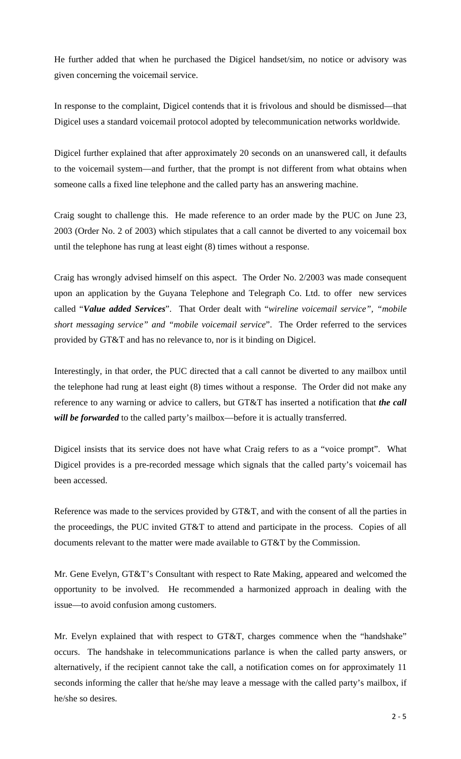He further added that when he purchased the Digicel handset/sim, no notice or advisory was given concerning the voicemail service.

In response to the complaint, Digicel contends that it is frivolous and should be dismissed—that Digicel uses a standard voicemail protocol adopted by telecommunication networks worldwide.

Digicel further explained that after approximately 20 seconds on an unanswered call, it defaults to the voicemail system—and further, that the prompt is not different from what obtains when someone calls a fixed line telephone and the called party has an answering machine.

Craig sought to challenge this. He made reference to an order made by the PUC on June 23, 2003 (Order No. 2 of 2003) which stipulates that a call cannot be diverted to any voicemail box until the telephone has rung at least eight (8) times without a response.

Craig has wrongly advised himself on this aspect. The Order No. 2/2003 was made consequent upon an application by the Guyana Telephone and Telegraph Co. Ltd. to offer new services called "*Value added Services*". That Order dealt with "*wireline voicemail service", "mobile short messaging service" and "mobile voicemail service*". The Order referred to the services provided by GT&T and has no relevance to, nor is it binding on Digicel.

Interestingly, in that order, the PUC directed that a call cannot be diverted to any mailbox until the telephone had rung at least eight (8) times without a response. The Order did not make any reference to any warning or advice to callers, but GT&T has inserted a notification that *the call*  will be forwarded to the called party's mailbox—before it is actually transferred.

Digicel insists that its service does not have what Craig refers to as a "voice prompt". What Digicel provides is a pre-recorded message which signals that the called party's voicemail has been accessed.

Reference was made to the services provided by GT&T, and with the consent of all the parties in the proceedings, the PUC invited GT&T to attend and participate in the process. Copies of all documents relevant to the matter were made available to GT&T by the Commission.

Mr. Gene Evelyn, GT&T's Consultant with respect to Rate Making, appeared and welcomed the opportunity to be involved. He recommended a harmonized approach in dealing with the issue—to avoid confusion among customers.

Mr. Evelyn explained that with respect to GT&T, charges commence when the "handshake" occurs. The handshake in telecommunications parlance is when the called party answers, or alternatively, if the recipient cannot take the call, a notification comes on for approximately 11 seconds informing the caller that he/she may leave a message with the called party's mailbox, if he/she so desires.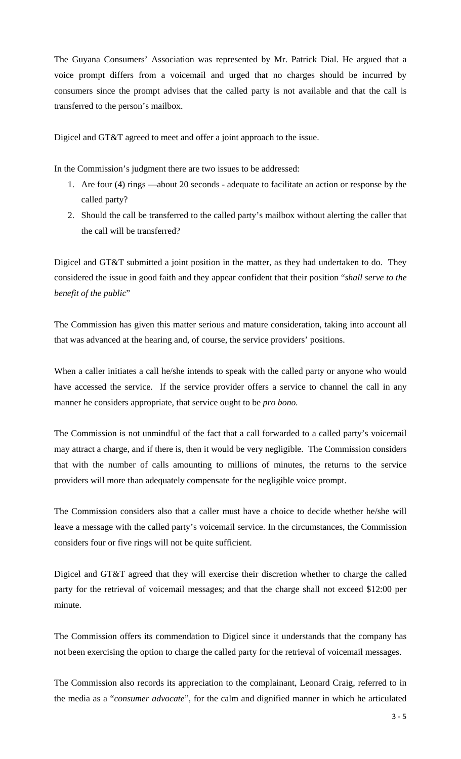The Guyana Consumers' Association was represented by Mr. Patrick Dial. He argued that a voice prompt differs from a voicemail and urged that no charges should be incurred by consumers since the prompt advises that the called party is not available and that the call is transferred to the person's mailbox.

Digicel and GT&T agreed to meet and offer a joint approach to the issue.

In the Commission's judgment there are two issues to be addressed:

- 1. Are four (4) rings —about 20 seconds *-* adequate to facilitate an action or response by the called party?
- 2. Should the call be transferred to the called party's mailbox without alerting the caller that the call will be transferred?

Digicel and GT&T submitted a joint position in the matter, as they had undertaken to do. They considered the issue in good faith and they appear confident that their position "*shall serve to the benefit of the public*"

The Commission has given this matter serious and mature consideration, taking into account all that was advanced at the hearing and, of course, the service providers' positions.

When a caller initiates a call he/she intends to speak with the called party or anyone who would have accessed the service. If the service provider offers a service to channel the call in any manner he considers appropriate, that service ought to be *pro bono.* 

The Commission is not unmindful of the fact that a call forwarded to a called party's voicemail may attract a charge, and if there is, then it would be very negligible. The Commission considers that with the number of calls amounting to millions of minutes, the returns to the service providers will more than adequately compensate for the negligible voice prompt.

The Commission considers also that a caller must have a choice to decide whether he/she will leave a message with the called party's voicemail service. In the circumstances, the Commission considers four or five rings will not be quite sufficient.

Digicel and GT&T agreed that they will exercise their discretion whether to charge the called party for the retrieval of voicemail messages; and that the charge shall not exceed \$12:00 per minute.

The Commission offers its commendation to Digicel since it understands that the company has not been exercising the option to charge the called party for the retrieval of voicemail messages.

The Commission also records its appreciation to the complainant, Leonard Craig, referred to in the media as a "*consumer advocate*", for the calm and dignified manner in which he articulated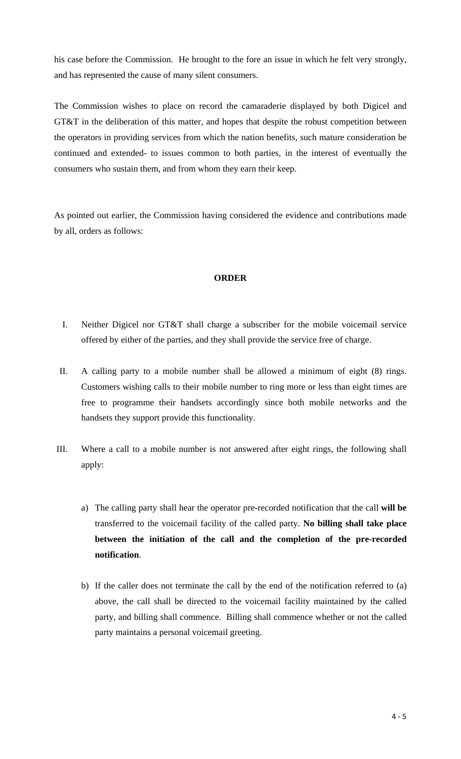his case before the Commission. He brought to the fore an issue in which he felt very strongly, and has represented the cause of many silent consumers.

The Commission wishes to place on record the camaraderie displayed by both Digicel and GT&T in the deliberation of this matter, and hopes that despite the robust competition between the operators in providing services from which the nation benefits, such mature consideration be continued and extended- to issues common to both parties, in the interest of eventually the consumers who sustain them, and from whom they earn their keep.

As pointed out earlier, the Commission having considered the evidence and contributions made by all, orders as follows:

## **ORDER**

- I. Neither Digicel nor GT&T shall charge a subscriber for the mobile voicemail service offered by either of the parties, and they shall provide the service free of charge.
- II. A calling party to a mobile number shall be allowed a minimum of eight (8) rings. Customers wishing calls to their mobile number to ring more or less than eight times are free to programme their handsets accordingly since both mobile networks and the handsets they support provide this functionality.
- III. Where a call to a mobile number is not answered after eight rings, the following shall apply:
	- a) The calling party shall hear the operator pre-recorded notification that the call **will be** transferred to the voicemail facility of the called party. **No billing shall take place between the initiation of the call and the completion of the pre-recorded notification**.
	- b) If the caller does not terminate the call by the end of the notification referred to (a) above, the call shall be directed to the voicemail facility maintained by the called party, and billing shall commence. Billing shall commence whether or not the called party maintains a personal voicemail greeting.